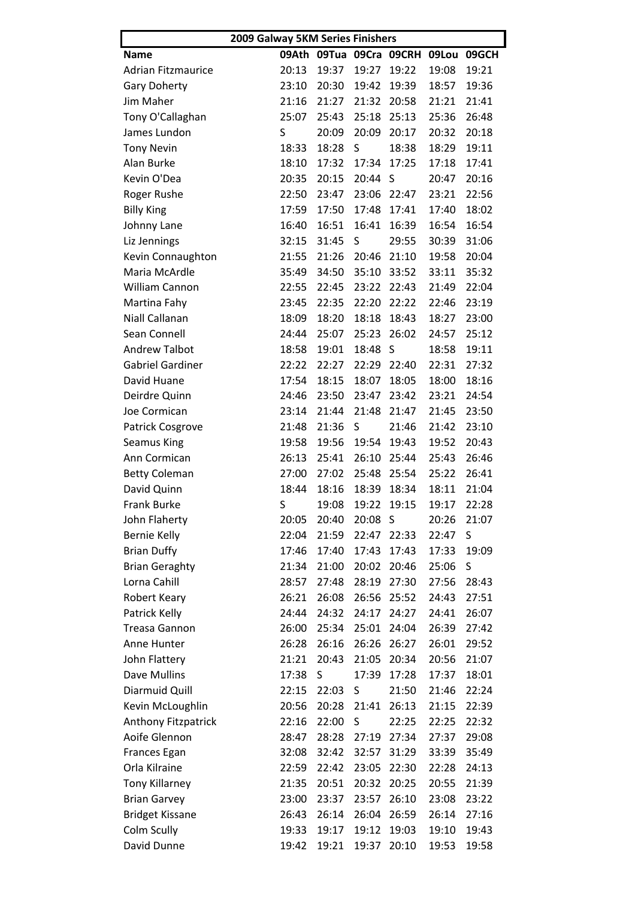| 2009 Galway 5KM Series Finishers |       |       |         |                         |       |       |  |  |
|----------------------------------|-------|-------|---------|-------------------------|-------|-------|--|--|
| <b>Name</b>                      |       |       |         | 09Ath 09Tua 09Cra 09CRH | 09Lou | 09GCH |  |  |
| <b>Adrian Fitzmaurice</b>        | 20:13 | 19:37 | 19:27   | 19:22                   | 19:08 | 19:21 |  |  |
| <b>Gary Doherty</b>              | 23:10 | 20:30 | 19:42   | 19:39                   | 18:57 | 19:36 |  |  |
| Jim Maher                        | 21:16 | 21:27 | 21:32   | 20:58                   | 21:21 | 21:41 |  |  |
| Tony O'Callaghan                 | 25:07 | 25:43 | 25:18   | 25:13                   | 25:36 | 26:48 |  |  |
| James Lundon                     | S     | 20:09 | 20:09   | 20:17                   | 20:32 | 20:18 |  |  |
| <b>Tony Nevin</b>                | 18:33 | 18:28 | S       | 18:38                   | 18:29 | 19:11 |  |  |
| Alan Burke                       | 18:10 | 17:32 | 17:34   | 17:25                   | 17:18 | 17:41 |  |  |
| Kevin O'Dea                      | 20:35 | 20:15 | 20:44   | S                       | 20:47 | 20:16 |  |  |
| Roger Rushe                      | 22:50 | 23:47 | 23:06   | 22:47                   | 23:21 | 22:56 |  |  |
| <b>Billy King</b>                | 17:59 | 17:50 | 17:48   | 17:41                   | 17:40 | 18:02 |  |  |
| Johnny Lane                      | 16:40 | 16:51 | 16:41   | 16:39                   | 16:54 | 16:54 |  |  |
| Liz Jennings                     | 32:15 | 31:45 | S       | 29:55                   | 30:39 | 31:06 |  |  |
| Kevin Connaughton                | 21:55 | 21:26 | 20:46   | 21:10                   | 19:58 | 20:04 |  |  |
| Maria McArdle                    | 35:49 | 34:50 | 35:10   | 33:52                   | 33:11 | 35:32 |  |  |
| <b>William Cannon</b>            | 22:55 | 22:45 | 23:22   | 22:43                   | 21:49 | 22:04 |  |  |
| Martina Fahy                     | 23:45 | 22:35 | 22:20   | 22:22                   | 22:46 | 23:19 |  |  |
| Niall Callanan                   | 18:09 | 18:20 | 18:18   | 18:43                   | 18:27 | 23:00 |  |  |
| Sean Connell                     | 24:44 | 25:07 | 25:23   | 26:02                   | 24:57 | 25:12 |  |  |
| <b>Andrew Talbot</b>             | 18:58 | 19:01 | 18:48   | S                       | 18:58 | 19:11 |  |  |
| <b>Gabriel Gardiner</b>          | 22:22 | 22:27 | 22:29   | 22:40                   | 22:31 | 27:32 |  |  |
| David Huane                      | 17:54 | 18:15 | 18:07   | 18:05                   | 18:00 | 18:16 |  |  |
| Deirdre Quinn                    | 24:46 | 23:50 | 23:47   | 23:42                   | 23:21 | 24:54 |  |  |
| Joe Cormican                     | 23:14 | 21:44 | 21:48   | 21:47                   | 21:45 | 23:50 |  |  |
| <b>Patrick Cosgrove</b>          | 21:48 | 21:36 | S       | 21:46                   | 21:42 | 23:10 |  |  |
| <b>Seamus King</b>               | 19:58 | 19:56 | 19:54   | 19:43                   | 19:52 | 20:43 |  |  |
| Ann Cormican                     | 26:13 | 25:41 | 26:10   | 25:44                   | 25:43 | 26:46 |  |  |
| <b>Betty Coleman</b>             | 27:00 | 27:02 | 25:48   | 25:54                   | 25:22 | 26:41 |  |  |
| David Quinn                      | 18:44 | 18:16 | 18:39   | 18:34                   | 18:11 | 21:04 |  |  |
| Frank Burke                      | S.    |       |         | 19:08 19:22 19:15       | 19:17 | 22:28 |  |  |
| John Flaherty                    | 20:05 | 20:40 | 20:08 S |                         | 20:26 | 21:07 |  |  |
| <b>Bernie Kelly</b>              | 22:04 | 21:59 | 22:47   | 22:33                   | 22:47 | S     |  |  |
| <b>Brian Duffy</b>               | 17:46 | 17:40 | 17:43   | 17:43                   | 17:33 | 19:09 |  |  |
| <b>Brian Geraghty</b>            | 21:34 | 21:00 | 20:02   | 20:46                   | 25:06 | S     |  |  |
| Lorna Cahill                     | 28:57 | 27:48 | 28:19   | 27:30                   | 27:56 | 28:43 |  |  |
| Robert Keary                     | 26:21 | 26:08 | 26:56   | 25:52                   | 24:43 | 27:51 |  |  |
| Patrick Kelly                    | 24:44 | 24:32 | 24:17   | 24:27                   | 24:41 | 26:07 |  |  |
| <b>Treasa Gannon</b>             | 26:00 | 25:34 | 25:01   | 24:04                   | 26:39 | 27:42 |  |  |
| Anne Hunter                      | 26:28 | 26:16 | 26:26   | 26:27                   | 26:01 | 29:52 |  |  |
| John Flattery                    | 21:21 | 20:43 | 21:05   | 20:34                   | 20:56 | 21:07 |  |  |
| Dave Mullins                     | 17:38 | S     | 17:39   | 17:28                   | 17:37 | 18:01 |  |  |
| Diarmuid Quill                   | 22:15 | 22:03 | S       | 21:50                   | 21:46 | 22:24 |  |  |
| Kevin McLoughlin                 | 20:56 | 20:28 | 21:41   | 26:13                   | 21:15 | 22:39 |  |  |
| Anthony Fitzpatrick              | 22:16 | 22:00 | S       | 22:25                   | 22:25 | 22:32 |  |  |
| Aoife Glennon                    | 28:47 | 28:28 | 27:19   | 27:34                   | 27:37 | 29:08 |  |  |
| Frances Egan                     | 32:08 | 32:42 | 32:57   | 31:29                   | 33:39 | 35:49 |  |  |
| Orla Kilraine                    | 22:59 | 22:42 | 23:05   | 22:30                   | 22:28 | 24:13 |  |  |
| <b>Tony Killarney</b>            | 21:35 | 20:51 | 20:32   | 20:25                   | 20:55 | 21:39 |  |  |
| <b>Brian Garvey</b>              | 23:00 | 23:37 | 23:57   | 26:10                   | 23:08 | 23:22 |  |  |
| <b>Bridget Kissane</b>           | 26:43 | 26:14 | 26:04   | 26:59                   | 26:14 | 27:16 |  |  |
| Colm Scully                      | 19:33 | 19:17 | 19:12   | 19:03                   | 19:10 | 19:43 |  |  |
|                                  |       |       |         |                         |       |       |  |  |
| David Dunne                      | 19:42 | 19:21 | 19:37   | 20:10                   | 19:53 | 19:58 |  |  |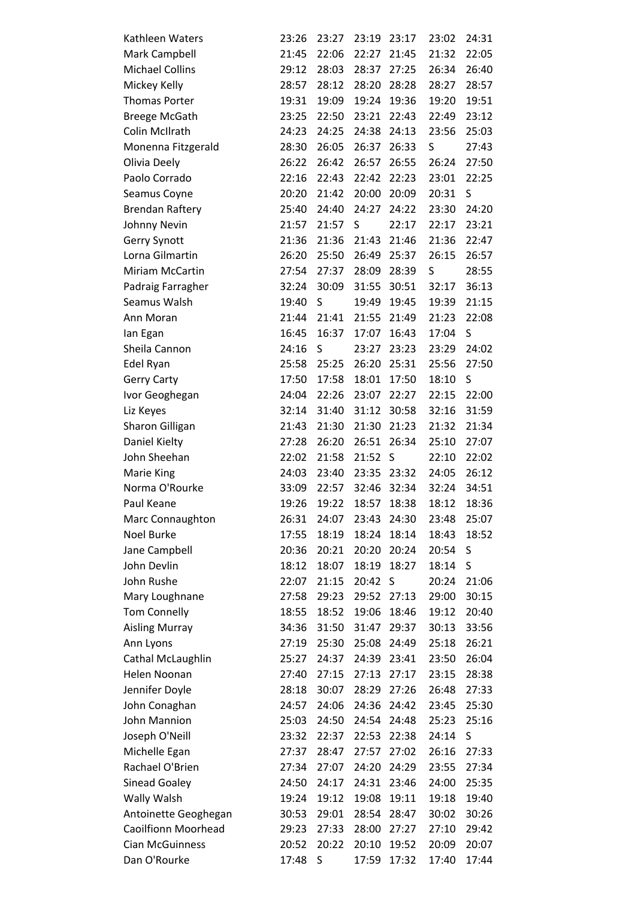| Kathleen Waters                  | 23:26 | 23:27 | 23:19 | 23:17 | 23:02 | 24:31 |
|----------------------------------|-------|-------|-------|-------|-------|-------|
| Mark Campbell                    | 21:45 | 22:06 | 22:27 | 21:45 | 21:32 | 22:05 |
| <b>Michael Collins</b>           | 29:12 | 28:03 | 28:37 | 27:25 | 26:34 | 26:40 |
| Mickey Kelly                     | 28:57 | 28:12 | 28:20 | 28:28 | 28:27 | 28:57 |
| <b>Thomas Porter</b>             | 19:31 | 19:09 | 19:24 | 19:36 | 19:20 | 19:51 |
| <b>Breege McGath</b>             | 23:25 | 22:50 | 23:21 | 22:43 | 22:49 | 23:12 |
| Colin McIlrath                   | 24:23 | 24:25 | 24:38 | 24:13 | 23:56 | 25:03 |
| Monenna Fitzgerald               | 28:30 | 26:05 | 26:37 | 26:33 | S     | 27:43 |
| Olivia Deely                     | 26:22 | 26:42 | 26:57 | 26:55 | 26:24 | 27:50 |
| Paolo Corrado                    | 22:16 | 22:43 | 22:42 | 22:23 | 23:01 | 22:25 |
| Seamus Coyne                     | 20:20 | 21:42 | 20:00 | 20:09 | 20:31 | S     |
| <b>Brendan Raftery</b>           | 25:40 | 24:40 | 24:27 | 24:22 | 23:30 | 24:20 |
| Johnny Nevin                     | 21:57 | 21:57 | S     | 22:17 | 22:17 | 23:21 |
| Gerry Synott                     | 21:36 | 21:36 | 21:43 | 21:46 | 21:36 | 22:47 |
| Lorna Gilmartin                  | 26:20 | 25:50 | 26:49 | 25:37 | 26:15 | 26:57 |
| Miriam McCartin                  | 27:54 | 27:37 | 28:09 | 28:39 | S     | 28:55 |
| Padraig Farragher                | 32:24 | 30:09 | 31:55 | 30:51 | 32:17 | 36:13 |
| Seamus Walsh                     | 19:40 | S     | 19:49 | 19:45 | 19:39 | 21:15 |
| Ann Moran                        | 21:44 | 21:41 | 21:55 | 21:49 | 21:23 | 22:08 |
| lan Egan                         | 16:45 | 16:37 | 17:07 | 16:43 | 17:04 | S     |
| Sheila Cannon                    | 24:16 | S     | 23:27 | 23:23 | 23:29 | 24:02 |
| Edel Ryan                        | 25:58 | 25:25 | 26:20 | 25:31 | 25:56 | 27:50 |
| <b>Gerry Carty</b>               | 17:50 | 17:58 | 18:01 | 17:50 | 18:10 | S     |
| Ivor Geoghegan                   | 24:04 | 22:26 | 23:07 | 22:27 | 22:15 | 22:00 |
| Liz Keyes                        | 32:14 | 31:40 | 31:12 | 30:58 | 32:16 | 31:59 |
| Sharon Gilligan                  | 21:43 | 21:30 | 21:30 | 21:23 | 21:32 | 21:34 |
| Daniel Kielty                    | 27:28 | 26:20 | 26:51 | 26:34 | 25:10 | 27:07 |
| John Sheehan                     | 22:02 | 21:58 | 21:52 | S     | 22:10 | 22:02 |
| Marie King                       | 24:03 | 23:40 | 23:35 | 23:32 | 24:05 | 26:12 |
| Norma O'Rourke                   | 33:09 | 22:57 | 32:46 | 32:34 | 32:24 | 34:51 |
| Paul Keane                       | 19:26 | 19:22 | 18:57 | 18:38 | 18:12 | 18:36 |
| Marc Connaughton                 | 26:31 | 24:07 | 23:43 | 24:30 | 23:48 | 25:07 |
| Noel Burke                       | 17:55 | 18:19 | 18:24 | 18:14 | 18:43 | 18:52 |
| Jane Campbell                    | 20:36 | 20:21 | 20:20 | 20:24 | 20:54 | S     |
| John Devlin                      | 18:12 | 18:07 | 18:19 | 18:27 | 18:14 | S     |
| John Rushe                       | 22:07 | 21:15 | 20:42 | S     | 20:24 | 21:06 |
| Mary Loughnane                   | 27:58 | 29:23 | 29:52 | 27:13 | 29:00 | 30:15 |
| <b>Tom Connelly</b>              | 18:55 | 18:52 | 19:06 | 18:46 | 19:12 | 20:40 |
| <b>Aisling Murray</b>            | 34:36 | 31:50 | 31:47 | 29:37 | 30:13 | 33:56 |
| Ann Lyons                        | 27:19 | 25:30 | 25:08 | 24:49 | 25:18 | 26:21 |
| <b>Cathal McLaughlin</b>         | 25:27 | 24:37 | 24:39 | 23:41 | 23:50 | 26:04 |
| Helen Noonan                     | 27:40 | 27:15 | 27:13 | 27:17 | 23:15 | 28:38 |
| Jennifer Doyle                   | 28:18 | 30:07 | 28:29 | 27:26 | 26:48 | 27:33 |
| John Conaghan                    | 24:57 | 24:06 | 24:36 | 24:42 | 23:45 | 25:30 |
| John Mannion                     | 25:03 | 24:50 | 24:54 | 24:48 | 25:23 | 25:16 |
|                                  | 23:32 | 22:37 | 22:53 | 22:38 | 24:14 | S     |
| Joseph O'Neill                   |       |       |       |       |       |       |
| Michelle Egan<br>Rachael O'Brien | 27:37 | 28:47 | 27:57 | 27:02 | 26:16 | 27:33 |
|                                  | 27:34 | 27:07 | 24:20 | 24:29 | 23:55 | 27:34 |
| <b>Sinead Goaley</b>             | 24:50 | 24:17 | 24:31 | 23:46 | 24:00 | 25:35 |
| Wally Walsh                      | 19:24 | 19:12 | 19:08 | 19:11 | 19:18 | 19:40 |
| Antoinette Geoghegan             | 30:53 | 29:01 | 28:54 | 28:47 | 30:02 | 30:26 |
| <b>Caoilfionn Moorhead</b>       | 29:23 | 27:33 | 28:00 | 27:27 | 27:10 | 29:42 |
| <b>Cian McGuinness</b>           | 20:52 | 20:22 | 20:10 | 19:52 | 20:09 | 20:07 |
| Dan O'Rourke                     | 17:48 | S     | 17:59 | 17:32 | 17:40 | 17:44 |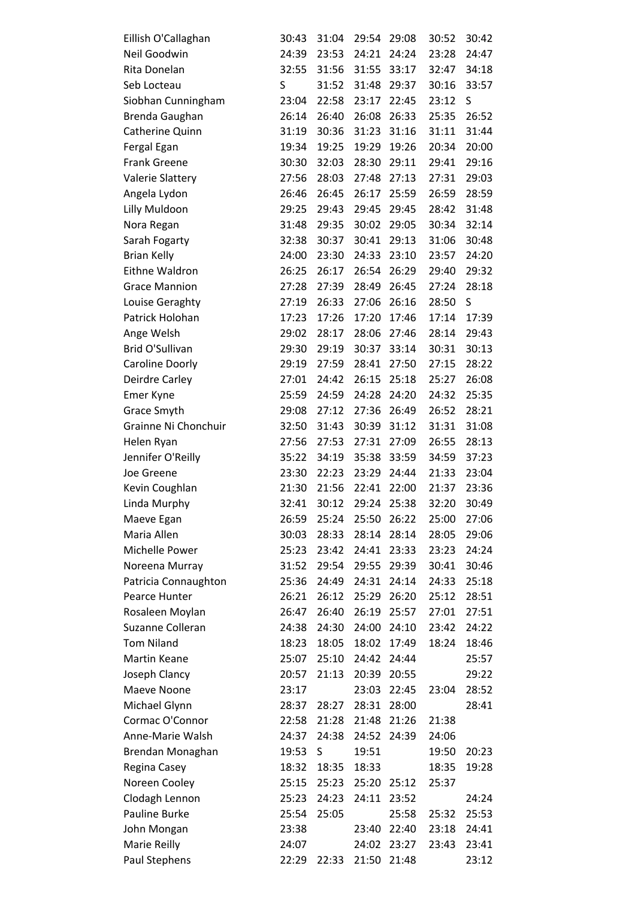| Eillish O'Callaghan     | 30:43 | 31:04 | 29:54 | 29:08 | 30:52 | 30:42 |
|-------------------------|-------|-------|-------|-------|-------|-------|
| Neil Goodwin            | 24:39 | 23:53 | 24:21 | 24:24 | 23:28 | 24:47 |
| Rita Donelan            | 32:55 | 31:56 | 31:55 | 33:17 | 32:47 | 34:18 |
| Seb Locteau             | S     | 31:52 | 31:48 | 29:37 | 30:16 | 33:57 |
| Siobhan Cunningham      | 23:04 | 22:58 | 23:17 | 22:45 | 23:12 | S     |
| Brenda Gaughan          | 26:14 | 26:40 | 26:08 | 26:33 | 25:35 | 26:52 |
| Catherine Quinn         | 31:19 | 30:36 | 31:23 | 31:16 | 31:11 | 31:44 |
| Fergal Egan             | 19:34 | 19:25 | 19:29 | 19:26 | 20:34 | 20:00 |
| <b>Frank Greene</b>     | 30:30 | 32:03 | 28:30 | 29:11 | 29:41 | 29:16 |
| <b>Valerie Slattery</b> | 27:56 | 28:03 | 27:48 | 27:13 | 27:31 | 29:03 |
| Angela Lydon            | 26:46 | 26:45 | 26:17 | 25:59 | 26:59 | 28:59 |
| Lilly Muldoon           | 29:25 | 29:43 | 29:45 | 29:45 | 28:42 | 31:48 |
| Nora Regan              | 31:48 | 29:35 | 30:02 | 29:05 | 30:34 | 32:14 |
| Sarah Fogarty           | 32:38 | 30:37 | 30:41 | 29:13 | 31:06 | 30:48 |
| <b>Brian Kelly</b>      | 24:00 | 23:30 | 24:33 | 23:10 | 23:57 | 24:20 |
| Eithne Waldron          | 26:25 | 26:17 | 26:54 | 26:29 | 29:40 | 29:32 |
| <b>Grace Mannion</b>    | 27:28 | 27:39 | 28:49 | 26:45 | 27:24 | 28:18 |
| Louise Geraghty         | 27:19 | 26:33 | 27:06 | 26:16 | 28:50 | S     |
| Patrick Holohan         | 17:23 | 17:26 | 17:20 | 17:46 | 17:14 | 17:39 |
| Ange Welsh              | 29:02 | 28:17 | 28:06 | 27:46 | 28:14 | 29:43 |
| Brid O'Sullivan         | 29:30 | 29:19 | 30:37 | 33:14 | 30:31 | 30:13 |
| Caroline Doorly         | 29:19 | 27:59 | 28:41 | 27:50 | 27:15 | 28:22 |
| Deirdre Carley          | 27:01 | 24:42 | 26:15 | 25:18 | 25:27 | 26:08 |
| <b>Emer Kyne</b>        | 25:59 | 24:59 | 24:28 | 24:20 | 24:32 | 25:35 |
| Grace Smyth             | 29:08 | 27:12 | 27:36 | 26:49 | 26:52 | 28:21 |
| Grainne Ni Chonchuir    | 32:50 | 31:43 | 30:39 | 31:12 | 31:31 | 31:08 |
| Helen Ryan              | 27:56 | 27:53 | 27:31 | 27:09 | 26:55 | 28:13 |
| Jennifer O'Reilly       | 35:22 | 34:19 | 35:38 | 33:59 | 34:59 | 37:23 |
| Joe Greene              | 23:30 | 22:23 | 23:29 | 24:44 | 21:33 | 23:04 |
| Kevin Coughlan          | 21:30 | 21:56 | 22:41 | 22:00 | 21:37 | 23:36 |
| Linda Murphy            | 32:41 | 30:12 | 29:24 | 25:38 | 32:20 | 30:49 |
| Maeve Egan              | 26:59 | 25:24 | 25:50 | 26:22 | 25:00 | 27:06 |
| Maria Allen             | 30:03 | 28:33 | 28:14 | 28:14 | 28:05 | 29:06 |
| Michelle Power          | 25:23 | 23:42 | 24:41 | 23:33 | 23:23 | 24:24 |
| Noreena Murray          | 31:52 | 29:54 | 29:55 | 29:39 | 30:41 | 30:46 |
| Patricia Connaughton    | 25:36 | 24:49 | 24:31 | 24:14 | 24:33 | 25:18 |
| Pearce Hunter           | 26:21 | 26:12 | 25:29 | 26:20 | 25:12 | 28:51 |
| Rosaleen Moylan         | 26:47 | 26:40 | 26:19 | 25:57 | 27:01 | 27:51 |
| Suzanne Colleran        | 24:38 | 24:30 | 24:00 | 24:10 | 23:42 | 24:22 |
| <b>Tom Niland</b>       | 18:23 | 18:05 | 18:02 | 17:49 | 18:24 | 18:46 |
| Martin Keane            | 25:07 | 25:10 | 24:42 | 24:44 |       | 25:57 |
| Joseph Clancy           | 20:57 | 21:13 | 20:39 | 20:55 |       | 29:22 |
| Maeve Noone             | 23:17 |       | 23:03 | 22:45 | 23:04 | 28:52 |
| Michael Glynn           | 28:37 | 28:27 | 28:31 | 28:00 |       | 28:41 |
| Cormac O'Connor         | 22:58 | 21:28 | 21:48 | 21:26 | 21:38 |       |
| Anne-Marie Walsh        | 24:37 | 24:38 | 24:52 | 24:39 | 24:06 |       |
| Brendan Monaghan        | 19:53 | S     | 19:51 |       | 19:50 | 20:23 |
| Regina Casey            | 18:32 | 18:35 | 18:33 |       | 18:35 | 19:28 |
| Noreen Cooley           | 25:15 | 25:23 | 25:20 | 25:12 | 25:37 |       |
| Clodagh Lennon          | 25:23 | 24:23 | 24:11 | 23:52 |       | 24:24 |
| Pauline Burke           | 25:54 | 25:05 |       | 25:58 | 25:32 | 25:53 |
| John Mongan             | 23:38 |       | 23:40 | 22:40 | 23:18 | 24:41 |
| Marie Reilly            | 24:07 |       | 24:02 | 23:27 | 23:43 | 23:41 |
| Paul Stephens           | 22:29 | 22:33 | 21:50 | 21:48 |       | 23:12 |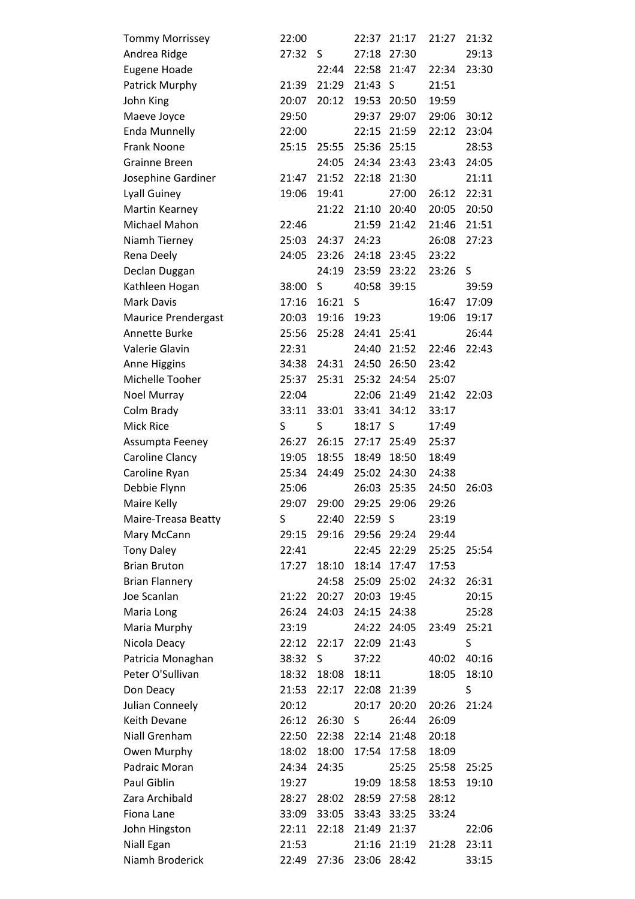| <b>Tommy Morrissey</b>     | 22:00 |       | 22:37 | 21:17       | 21:27 | 21:32 |
|----------------------------|-------|-------|-------|-------------|-------|-------|
| Andrea Ridge               | 27:32 | S     | 27:18 | 27:30       |       | 29:13 |
| Eugene Hoade               |       | 22:44 | 22:58 | 21:47       | 22:34 | 23:30 |
| Patrick Murphy             | 21:39 | 21:29 | 21:43 | S           | 21:51 |       |
| John King                  | 20:07 | 20:12 | 19:53 | 20:50       | 19:59 |       |
| Maeve Joyce                | 29:50 |       | 29:37 | 29:07       | 29:06 | 30:12 |
| <b>Enda Munnelly</b>       | 22:00 |       | 22:15 | 21:59       | 22:12 | 23:04 |
| <b>Frank Noone</b>         | 25:15 | 25:55 | 25:36 | 25:15       |       | 28:53 |
| <b>Grainne Breen</b>       |       | 24:05 | 24:34 | 23:43       | 23:43 | 24:05 |
| Josephine Gardiner         | 21:47 | 21:52 | 22:18 | 21:30       |       | 21:11 |
| Lyall Guiney               | 19:06 | 19:41 |       | 27:00       | 26:12 | 22:31 |
| Martin Kearney             |       | 21:22 | 21:10 | 20:40       | 20:05 | 20:50 |
| Michael Mahon              | 22:46 |       | 21:59 | 21:42       | 21:46 | 21:51 |
| Niamh Tierney              | 25:03 | 24:37 | 24:23 |             | 26:08 | 27:23 |
| Rena Deely                 | 24:05 | 23:26 | 24:18 | 23:45       | 23:22 |       |
| Declan Duggan              |       | 24:19 | 23:59 | 23:22       | 23:26 | S     |
| Kathleen Hogan             | 38:00 | S     | 40:58 | 39:15       |       | 39:59 |
| <b>Mark Davis</b>          | 17:16 | 16:21 | S     |             | 16:47 | 17:09 |
| <b>Maurice Prendergast</b> | 20:03 | 19:16 | 19:23 |             | 19:06 | 19:17 |
| Annette Burke              | 25:56 | 25:28 | 24:41 | 25:41       |       | 26:44 |
| Valerie Glavin             | 22:31 |       | 24:40 | 21:52       | 22:46 | 22:43 |
| Anne Higgins               | 34:38 | 24:31 | 24:50 | 26:50       | 23:42 |       |
| Michelle Tooher            | 25:37 | 25:31 | 25:32 | 24:54       | 25:07 |       |
| Noel Murray                | 22:04 |       | 22:06 | 21:49       | 21:42 | 22:03 |
| Colm Brady                 | 33:11 | 33:01 | 33:41 | 34:12       | 33:17 |       |
| <b>Mick Rice</b>           | S     | S     | 18:17 | S           | 17:49 |       |
| Assumpta Feeney            | 26:27 | 26:15 | 27:17 | 25:49       | 25:37 |       |
| Caroline Clancy            | 19:05 | 18:55 | 18:49 | 18:50       | 18:49 |       |
| Caroline Ryan              | 25:34 | 24:49 | 25:02 | 24:30       | 24:38 |       |
| Debbie Flynn               | 25:06 |       | 26:03 | 25:35       | 24:50 | 26:03 |
| Maire Kelly                | 29:07 | 29:00 | 29:25 | 29:06       | 29:26 |       |
| Maire-Treasa Beatty        | S     | 22:40 | 22:59 | -S          | 23:19 |       |
| Mary McCann                | 29:15 | 29:16 | 29:56 | 29:24       | 29:44 |       |
| <b>Tony Daley</b>          | 22:41 |       | 22:45 | 22:29       | 25:25 | 25:54 |
| <b>Brian Bruton</b>        | 17:27 | 18:10 | 18:14 | 17:47       | 17:53 |       |
| <b>Brian Flannery</b>      |       | 24:58 | 25:09 | 25:02       | 24:32 | 26:31 |
| Joe Scanlan                | 21:22 | 20:27 | 20:03 | 19:45       |       | 20:15 |
| Maria Long                 | 26:24 | 24:03 | 24:15 | 24:38       |       | 25:28 |
| Maria Murphy               | 23:19 |       | 24:22 | 24:05       | 23:49 | 25:21 |
| Nicola Deacy               | 22:12 | 22:17 | 22:09 | 21:43       |       | S     |
| Patricia Monaghan          | 38:32 | S     | 37:22 |             | 40:02 | 40:16 |
| Peter O'Sullivan           | 18:32 | 18:08 | 18:11 |             | 18:05 | 18:10 |
| Don Deacy                  | 21:53 | 22:17 |       | 22:08 21:39 |       | S     |
| Julian Conneely            | 20:12 |       | 20:17 | 20:20       | 20:26 | 21:24 |
| Keith Devane               | 26:12 | 26:30 | S     | 26:44       | 26:09 |       |
| Niall Grenham              | 22:50 | 22:38 | 22:14 | 21:48       | 20:18 |       |
| Owen Murphy                | 18:02 | 18:00 | 17:54 | 17:58       | 18:09 |       |
| Padraic Moran              | 24:34 | 24:35 |       | 25:25       | 25:58 | 25:25 |
| Paul Giblin                | 19:27 |       | 19:09 | 18:58       | 18:53 | 19:10 |
| Zara Archibald             | 28:27 | 28:02 | 28:59 | 27:58       | 28:12 |       |
| Fiona Lane                 | 33:09 | 33:05 | 33:43 | 33:25       | 33:24 |       |
| John Hingston              | 22:11 | 22:18 | 21:49 | 21:37       |       | 22:06 |
| Niall Egan                 | 21:53 |       | 21:16 | 21:19       | 21:28 | 23:11 |
| Niamh Broderick            | 22:49 | 27:36 | 23:06 | 28:42       |       | 33:15 |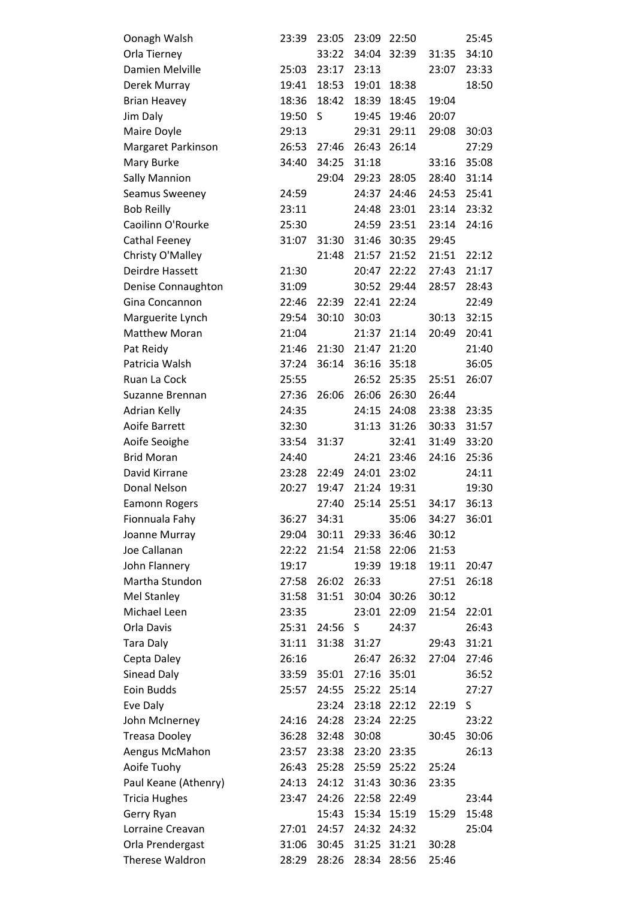| Oonagh Walsh         | 23:39 | 23:05 | 23:09 | 22:50 |       | 25:45 |
|----------------------|-------|-------|-------|-------|-------|-------|
| Orla Tierney         |       | 33:22 | 34:04 | 32:39 | 31:35 | 34:10 |
| Damien Melville      | 25:03 | 23:17 | 23:13 |       | 23:07 | 23:33 |
| Derek Murray         | 19:41 | 18:53 | 19:01 | 18:38 |       | 18:50 |
| <b>Brian Heavey</b>  | 18:36 | 18:42 | 18:39 | 18:45 | 19:04 |       |
| Jim Daly             | 19:50 | S     | 19:45 | 19:46 | 20:07 |       |
| Maire Doyle          | 29:13 |       | 29:31 | 29:11 | 29:08 | 30:03 |
| Margaret Parkinson   | 26:53 | 27:46 | 26:43 | 26:14 |       | 27:29 |
| Mary Burke           | 34:40 | 34:25 | 31:18 |       | 33:16 | 35:08 |
| <b>Sally Mannion</b> |       | 29:04 | 29:23 | 28:05 | 28:40 | 31:14 |
| Seamus Sweeney       | 24:59 |       | 24:37 | 24:46 | 24:53 | 25:41 |
| <b>Bob Reilly</b>    | 23:11 |       | 24:48 | 23:01 | 23:14 | 23:32 |
| Caoilinn O'Rourke    | 25:30 |       | 24:59 | 23:51 | 23:14 | 24:16 |
| Cathal Feeney        | 31:07 | 31:30 | 31:46 | 30:35 | 29:45 |       |
| Christy O'Malley     |       | 21:48 | 21:57 | 21:52 | 21:51 | 22:12 |
| Deirdre Hassett      | 21:30 |       | 20:47 | 22:22 | 27:43 | 21:17 |
| Denise Connaughton   | 31:09 |       | 30:52 | 29:44 | 28:57 | 28:43 |
| Gina Concannon       | 22:46 | 22:39 | 22:41 | 22:24 |       | 22:49 |
| Marguerite Lynch     | 29:54 | 30:10 | 30:03 |       | 30:13 | 32:15 |
| <b>Matthew Moran</b> | 21:04 |       | 21:37 | 21:14 | 20:49 | 20:41 |
| Pat Reidy            | 21:46 | 21:30 | 21:47 | 21:20 |       | 21:40 |
| Patricia Walsh       | 37:24 | 36:14 | 36:16 | 35:18 |       | 36:05 |
| Ruan La Cock         | 25:55 |       | 26:52 | 25:35 | 25:51 | 26:07 |
| Suzanne Brennan      | 27:36 | 26:06 | 26:06 | 26:30 | 26:44 |       |
| Adrian Kelly         | 24:35 |       | 24:15 | 24:08 | 23:38 | 23:35 |
| Aoife Barrett        | 32:30 |       | 31:13 | 31:26 | 30:33 | 31:57 |
| Aoife Seoighe        | 33:54 | 31:37 |       | 32:41 | 31:49 | 33:20 |
| <b>Brid Moran</b>    | 24:40 |       | 24:21 | 23:46 | 24:16 | 25:36 |
| David Kirrane        | 23:28 | 22:49 | 24:01 | 23:02 |       | 24:11 |
| Donal Nelson         | 20:27 | 19:47 | 21:24 | 19:31 |       | 19:30 |
| <b>Eamonn Rogers</b> |       | 27:40 | 25:14 | 25:51 | 34:17 | 36:13 |
| Fionnuala Fahy       | 36:27 | 34:31 |       | 35:06 | 34:27 | 36:01 |
| Joanne Murray        | 29:04 | 30:11 | 29:33 | 36:46 | 30:12 |       |
| Joe Callanan         | 22:22 | 21:54 | 21:58 | 22:06 | 21:53 |       |
| John Flannery        | 19:17 |       | 19:39 | 19:18 | 19:11 | 20:47 |
| Martha Stundon       | 27:58 | 26:02 | 26:33 |       | 27:51 | 26:18 |
| <b>Mel Stanley</b>   | 31:58 | 31:51 | 30:04 | 30:26 | 30:12 |       |
| Michael Leen         | 23:35 |       | 23:01 | 22:09 | 21:54 | 22:01 |
| Orla Davis           | 25:31 | 24:56 | S     | 24:37 |       | 26:43 |
| <b>Tara Daly</b>     | 31:11 | 31:38 | 31:27 |       | 29:43 | 31:21 |
| Cepta Daley          | 26:16 |       | 26:47 | 26:32 | 27:04 | 27:46 |
| Sinead Daly          | 33:59 | 35:01 | 27:16 | 35:01 |       | 36:52 |
| Eoin Budds           | 25:57 | 24:55 | 25:22 | 25:14 |       | 27:27 |
| Eve Daly             |       | 23:24 | 23:18 | 22:12 | 22:19 | S     |
| John McInerney       | 24:16 | 24:28 | 23:24 | 22:25 |       | 23:22 |
| <b>Treasa Dooley</b> | 36:28 | 32:48 | 30:08 |       | 30:45 | 30:06 |
| Aengus McMahon       | 23:57 | 23:38 | 23:20 | 23:35 |       | 26:13 |
| Aoife Tuohy          | 26:43 | 25:28 | 25:59 | 25:22 | 25:24 |       |
| Paul Keane (Athenry) | 24:13 | 24:12 | 31:43 | 30:36 | 23:35 |       |
| <b>Tricia Hughes</b> | 23:47 | 24:26 | 22:58 | 22:49 |       | 23:44 |
| Gerry Ryan           |       | 15:43 | 15:34 | 15:19 | 15:29 | 15:48 |
| Lorraine Creavan     | 27:01 | 24:57 | 24:32 | 24:32 |       | 25:04 |
| Orla Prendergast     | 31:06 | 30:45 | 31:25 | 31:21 | 30:28 |       |
| Therese Waldron      | 28:29 | 28:26 | 28:34 | 28:56 | 25:46 |       |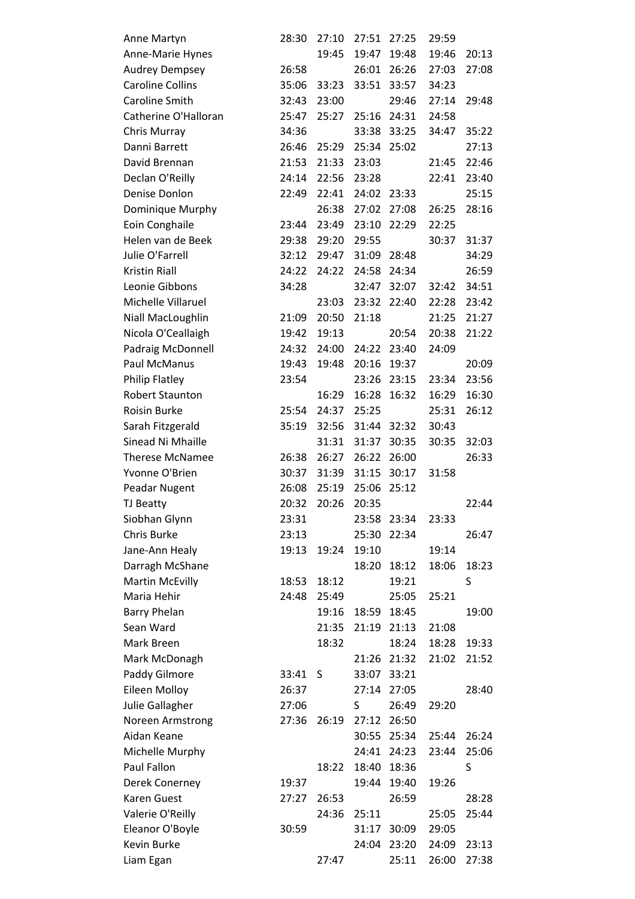| Anne Martyn             | 28:30 | 27:10 | 27:51 | 27:25       | 29:59 |       |
|-------------------------|-------|-------|-------|-------------|-------|-------|
| Anne-Marie Hynes        |       | 19:45 | 19:47 | 19:48       | 19:46 | 20:13 |
| <b>Audrey Dempsey</b>   | 26:58 |       | 26:01 | 26:26       | 27:03 | 27:08 |
| <b>Caroline Collins</b> | 35:06 | 33:23 | 33:51 | 33:57       | 34:23 |       |
| Caroline Smith          | 32:43 | 23:00 |       | 29:46       | 27:14 | 29:48 |
| Catherine O'Halloran    | 25:47 | 25:27 | 25:16 | 24:31       | 24:58 |       |
| Chris Murray            | 34:36 |       | 33:38 | 33:25       | 34:47 | 35:22 |
| Danni Barrett           | 26:46 | 25:29 | 25:34 | 25:02       |       | 27:13 |
| David Brennan           | 21:53 | 21:33 | 23:03 |             | 21:45 | 22:46 |
| Declan O'Reilly         | 24:14 | 22:56 | 23:28 |             | 22:41 | 23:40 |
| Denise Donlon           | 22:49 | 22:41 | 24:02 | 23:33       |       | 25:15 |
| Dominique Murphy        |       | 26:38 | 27:02 | 27:08       | 26:25 | 28:16 |
| Eoin Conghaile          | 23:44 | 23:49 | 23:10 | 22:29       | 22:25 |       |
| Helen van de Beek       | 29:38 | 29:20 | 29:55 |             | 30:37 | 31:37 |
| Julie O'Farrell         | 32:12 | 29:47 | 31:09 | 28:48       |       | 34:29 |
| <b>Kristin Riall</b>    | 24:22 | 24:22 | 24:58 | 24:34       |       | 26:59 |
| Leonie Gibbons          | 34:28 |       | 32:47 | 32:07       | 32:42 | 34:51 |
| Michelle Villaruel      |       | 23:03 | 23:32 | 22:40       | 22:28 | 23:42 |
| Niall MacLoughlin       | 21:09 | 20:50 | 21:18 |             | 21:25 | 21:27 |
| Nicola O'Ceallaigh      | 19:42 | 19:13 |       | 20:54       | 20:38 | 21:22 |
| Padraig McDonnell       | 24:32 | 24:00 | 24:22 | 23:40       | 24:09 |       |
| Paul McManus            | 19:43 | 19:48 | 20:16 | 19:37       |       | 20:09 |
| <b>Philip Flatley</b>   | 23:54 |       | 23:26 | 23:15       | 23:34 | 23:56 |
| <b>Robert Staunton</b>  |       | 16:29 | 16:28 | 16:32       | 16:29 | 16:30 |
| Roisin Burke            | 25:54 | 24:37 | 25:25 |             | 25:31 | 26:12 |
| Sarah Fitzgerald        | 35:19 | 32:56 | 31:44 | 32:32       | 30:43 |       |
| Sinead Ni Mhaille       |       | 31:31 | 31:37 | 30:35       | 30:35 | 32:03 |
| <b>Therese McNamee</b>  | 26:38 | 26:27 | 26:22 | 26:00       |       | 26:33 |
| Yvonne O'Brien          | 30:37 | 31:39 | 31:15 | 30:17       | 31:58 |       |
| Peadar Nugent           | 26:08 | 25:19 | 25:06 | 25:12       |       |       |
| <b>TJ Beatty</b>        | 20:32 | 20:26 | 20:35 |             |       | 22:44 |
| Siobhan Glynn           | 23:31 |       | 23:58 | 23:34       | 23:33 |       |
| Chris Burke             | 23:13 |       | 25:30 | 22:34       |       | 26:47 |
| Jane-Ann Healy          | 19:13 | 19:24 | 19:10 |             | 19:14 |       |
| Darragh McShane         |       |       | 18:20 | 18:12       | 18:06 | 18:23 |
| <b>Martin McEvilly</b>  | 18:53 | 18:12 |       | 19:21       |       | S     |
| Maria Hehir             | 24:48 | 25:49 |       | 25:05       | 25:21 |       |
| <b>Barry Phelan</b>     |       | 19:16 | 18:59 | 18:45       |       | 19:00 |
| Sean Ward               |       | 21:35 | 21:19 | 21:13       | 21:08 |       |
| Mark Breen              |       | 18:32 |       | 18:24       | 18:28 | 19:33 |
| Mark McDonagh           |       |       |       | 21:26 21:32 | 21:02 | 21:52 |
| Paddy Gilmore           | 33:41 | S     | 33:07 | 33:21       |       |       |
| <b>Eileen Molloy</b>    | 26:37 |       | 27:14 | 27:05       |       | 28:40 |
| Julie Gallagher         | 27:06 |       | S     | 26:49       | 29:20 |       |
| Noreen Armstrong        | 27:36 | 26:19 | 27:12 | 26:50       |       |       |
| Aidan Keane             |       |       | 30:55 | 25:34       | 25:44 | 26:24 |
| Michelle Murphy         |       |       | 24:41 | 24:23       | 23:44 | 25:06 |
| Paul Fallon             |       | 18:22 | 18:40 | 18:36       |       | S     |
| Derek Conerney          | 19:37 |       | 19:44 | 19:40       | 19:26 |       |
| Karen Guest             | 27:27 | 26:53 |       | 26:59       |       | 28:28 |
| Valerie O'Reilly        |       | 24:36 | 25:11 |             | 25:05 | 25:44 |
| Eleanor O'Boyle         | 30:59 |       | 31:17 | 30:09       | 29:05 |       |
| Kevin Burke             |       |       | 24:04 | 23:20       | 24:09 | 23:13 |
| Liam Egan               |       | 27:47 |       | 25:11       | 26:00 | 27:38 |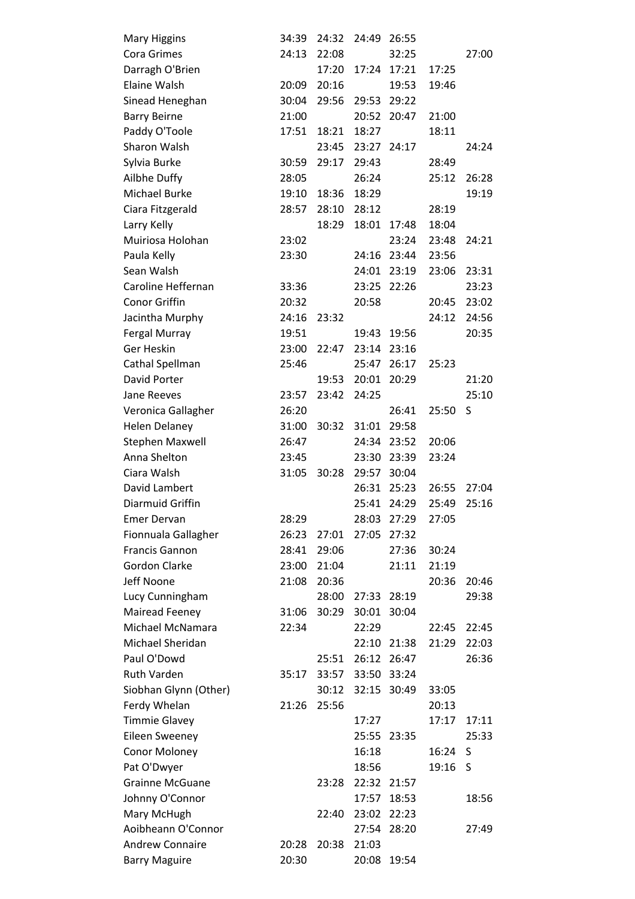| <b>Mary Higgins</b>    | 34:39 | 24:32 | 24:49 | 26:55       |       |       |
|------------------------|-------|-------|-------|-------------|-------|-------|
| Cora Grimes            | 24:13 | 22:08 |       | 32:25       |       | 27:00 |
| Darragh O'Brien        |       | 17:20 | 17:24 | 17:21       | 17:25 |       |
| <b>Elaine Walsh</b>    | 20:09 | 20:16 |       | 19:53       | 19:46 |       |
| Sinead Heneghan        | 30:04 | 29:56 | 29:53 | 29:22       |       |       |
| <b>Barry Beirne</b>    | 21:00 |       | 20:52 | 20:47       | 21:00 |       |
| Paddy O'Toole          | 17:51 | 18:21 | 18:27 |             | 18:11 |       |
| Sharon Walsh           |       | 23:45 |       | 23:27 24:17 |       | 24:24 |
| Sylvia Burke           | 30:59 | 29:17 | 29:43 |             | 28:49 |       |
| Ailbhe Duffy           | 28:05 |       | 26:24 |             | 25:12 | 26:28 |
| Michael Burke          | 19:10 | 18:36 | 18:29 |             |       | 19:19 |
| Ciara Fitzgerald       | 28:57 | 28:10 | 28:12 |             | 28:19 |       |
| Larry Kelly            |       | 18:29 | 18:01 | 17:48       | 18:04 |       |
| Muiriosa Holohan       | 23:02 |       |       | 23:24       | 23:48 | 24:21 |
| Paula Kelly            | 23:30 |       | 24:16 | 23:44       | 23:56 |       |
| Sean Walsh             |       |       | 24:01 | 23:19       | 23:06 | 23:31 |
| Caroline Heffernan     | 33:36 |       | 23:25 | 22:26       |       | 23:23 |
| <b>Conor Griffin</b>   | 20:32 |       | 20:58 |             | 20:45 | 23:02 |
| Jacintha Murphy        | 24:16 | 23:32 |       |             | 24:12 | 24:56 |
| Fergal Murray          | 19:51 |       | 19:43 | 19:56       |       | 20:35 |
| Ger Heskin             | 23:00 | 22:47 | 23:14 | 23:16       |       |       |
| Cathal Spellman        | 25:46 |       |       | 25:47 26:17 | 25:23 |       |
| David Porter           |       | 19:53 | 20:01 | 20:29       |       | 21:20 |
| Jane Reeves            | 23:57 | 23:42 | 24:25 |             |       | 25:10 |
| Veronica Gallagher     | 26:20 |       |       | 26:41       | 25:50 | S     |
| <b>Helen Delaney</b>   | 31:00 | 30:32 | 31:01 | 29:58       |       |       |
| <b>Stephen Maxwell</b> | 26:47 |       | 24:34 | 23:52       | 20:06 |       |
| Anna Shelton           | 23:45 |       | 23:30 | 23:39       | 23:24 |       |
| Ciara Walsh            | 31:05 | 30:28 | 29:57 | 30:04       |       |       |
| David Lambert          |       |       | 26:31 | 25:23       | 26:55 | 27:04 |
| Diarmuid Griffin       |       |       | 25:41 | 24:29       | 25:49 | 25:16 |
| <b>Emer Dervan</b>     | 28:29 |       | 28:03 | 27:29       | 27:05 |       |
| Fionnuala Gallagher    | 26:23 | 27:01 | 27:05 | 27:32       |       |       |
| <b>Francis Gannon</b>  | 28:41 | 29:06 |       | 27:36       | 30:24 |       |
| <b>Gordon Clarke</b>   | 23:00 | 21:04 |       | 21:11       | 21:19 |       |
| Jeff Noone             | 21:08 | 20:36 |       |             | 20:36 | 20:46 |
| Lucy Cunningham        |       | 28:00 |       | 27:33 28:19 |       | 29:38 |
| Mairead Feeney         | 31:06 | 30:29 | 30:01 | 30:04       |       |       |
| Michael McNamara       | 22:34 |       | 22:29 |             | 22:45 | 22:45 |
| Michael Sheridan       |       |       | 22:10 | 21:38       | 21:29 | 22:03 |
| Paul O'Dowd            |       | 25:51 | 26:12 | 26:47       |       | 26:36 |
| <b>Ruth Varden</b>     | 35:17 | 33:57 | 33:50 | 33:24       |       |       |
| Siobhan Glynn (Other)  |       | 30:12 | 32:15 | 30:49       | 33:05 |       |
| Ferdy Whelan           | 21:26 | 25:56 |       |             | 20:13 |       |
| <b>Timmie Glavey</b>   |       |       | 17:27 |             | 17:17 | 17:11 |
| <b>Eileen Sweeney</b>  |       |       | 25:55 | 23:35       |       | 25:33 |
| Conor Moloney          |       |       | 16:18 |             | 16:24 | S     |
| Pat O'Dwyer            |       |       | 18:56 |             | 19:16 | S     |
| <b>Grainne McGuane</b> |       | 23:28 |       | 22:32 21:57 |       |       |
| Johnny O'Connor        |       |       | 17:57 | 18:53       |       | 18:56 |
| Mary McHugh            |       | 22:40 |       | 23:02 22:23 |       |       |
| Aoibheann O'Connor     |       |       | 27:54 | 28:20       |       | 27:49 |
| <b>Andrew Connaire</b> | 20:28 | 20:38 | 21:03 |             |       |       |
| <b>Barry Maguire</b>   | 20:30 |       | 20:08 | 19:54       |       |       |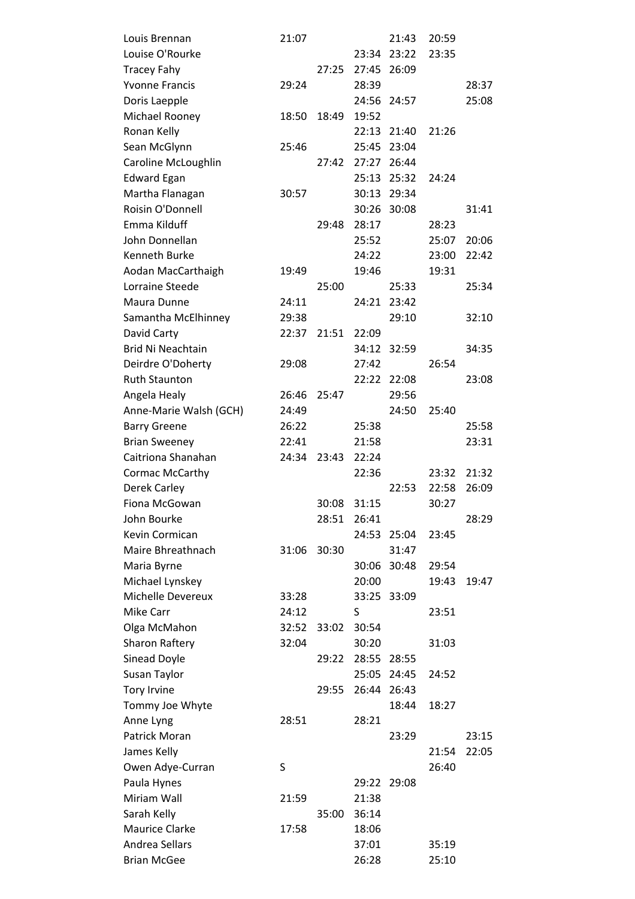| Louis Brennan            | 21:07 |       |             | 21:43       | 20:59 |       |
|--------------------------|-------|-------|-------------|-------------|-------|-------|
| Louise O'Rourke          |       |       | 23:34       | 23:22       | 23:35 |       |
| <b>Tracey Fahy</b>       |       | 27:25 | 27:45       | 26:09       |       |       |
| <b>Yvonne Francis</b>    | 29:24 |       | 28:39       |             |       | 28:37 |
| Doris Laepple            |       |       | 24:56       | 24:57       |       | 25:08 |
| Michael Rooney           | 18:50 | 18:49 | 19:52       |             |       |       |
| Ronan Kelly              |       |       | 22:13       | 21:40       | 21:26 |       |
| Sean McGlynn             | 25:46 |       | 25:45 23:04 |             |       |       |
| Caroline McLoughlin      |       | 27:42 | 27:27       | 26:44       |       |       |
| <b>Edward Egan</b>       |       |       | 25:13       | 25:32       | 24:24 |       |
| Martha Flanagan          | 30:57 |       | 30:13       | 29:34       |       |       |
| Roisin O'Donnell         |       |       |             | 30:26 30:08 |       | 31:41 |
| Emma Kilduff             |       | 29:48 | 28:17       |             | 28:23 |       |
| John Donnellan           |       |       | 25:52       |             | 25:07 | 20:06 |
| <b>Kenneth Burke</b>     |       |       | 24:22       |             | 23:00 | 22:42 |
| Aodan MacCarthaigh       | 19:49 |       | 19:46       |             | 19:31 |       |
| Lorraine Steede          |       | 25:00 |             | 25:33       |       | 25:34 |
| Maura Dunne              | 24:11 |       | 24:21       | 23:42       |       |       |
| Samantha McElhinney      | 29:38 |       |             | 29:10       |       | 32:10 |
| David Carty              | 22:37 | 21:51 | 22:09       |             |       |       |
| <b>Brid Ni Neachtain</b> |       |       | 34:12       | 32:59       |       | 34:35 |
| Deirdre O'Doherty        | 29:08 |       | 27:42       |             | 26:54 |       |
| <b>Ruth Staunton</b>     |       |       | 22:22       | 22:08       |       | 23:08 |
| Angela Healy             | 26:46 | 25:47 |             | 29:56       |       |       |
| Anne-Marie Walsh (GCH)   | 24:49 |       |             | 24:50       | 25:40 |       |
| <b>Barry Greene</b>      | 26:22 |       | 25:38       |             |       | 25:58 |
| <b>Brian Sweeney</b>     | 22:41 |       | 21:58       |             |       | 23:31 |
| Caitriona Shanahan       | 24:34 | 23:43 | 22:24       |             |       |       |
| Cormac McCarthy          |       |       | 22:36       |             | 23:32 | 21:32 |
| Derek Carley             |       |       |             | 22:53       | 22:58 | 26:09 |
| Fiona McGowan            |       | 30:08 | 31:15       |             | 30:27 |       |
| John Bourke              |       | 28:51 | 26:41       |             |       | 28:29 |
| Kevin Cormican           |       |       |             | 24:53 25:04 | 23:45 |       |
| Maire Bhreathnach        | 31:06 | 30:30 |             | 31:47       |       |       |
| Maria Byrne              |       |       | 30:06       | 30:48       | 29:54 |       |
| Michael Lynskey          |       |       | 20:00       |             | 19:43 | 19:47 |
| Michelle Devereux        | 33:28 |       | 33:25 33:09 |             |       |       |
| <b>Mike Carr</b>         | 24:12 |       | S           |             | 23:51 |       |
| Olga McMahon             | 32:52 | 33:02 | 30:54       |             |       |       |
| <b>Sharon Raftery</b>    | 32:04 |       | 30:20       |             | 31:03 |       |
| Sinead Doyle             |       | 29:22 | 28:55 28:55 |             |       |       |
| Susan Taylor             |       |       |             | 25:05 24:45 | 24:52 |       |
| <b>Tory Irvine</b>       |       | 29:55 |             | 26:44 26:43 |       |       |
| Tommy Joe Whyte          |       |       |             | 18:44       | 18:27 |       |
| Anne Lyng                | 28:51 |       | 28:21       |             |       |       |
| Patrick Moran            |       |       |             | 23:29       |       | 23:15 |
| James Kelly              |       |       |             |             | 21:54 | 22:05 |
| Owen Adye-Curran         | S     |       |             |             | 26:40 |       |
| Paula Hynes              |       |       | 29:22       | 29:08       |       |       |
| Miriam Wall              | 21:59 |       | 21:38       |             |       |       |
| Sarah Kelly              |       | 35:00 | 36:14       |             |       |       |
| <b>Maurice Clarke</b>    | 17:58 |       | 18:06       |             |       |       |
| Andrea Sellars           |       |       | 37:01       |             | 35:19 |       |
| <b>Brian McGee</b>       |       |       | 26:28       |             | 25:10 |       |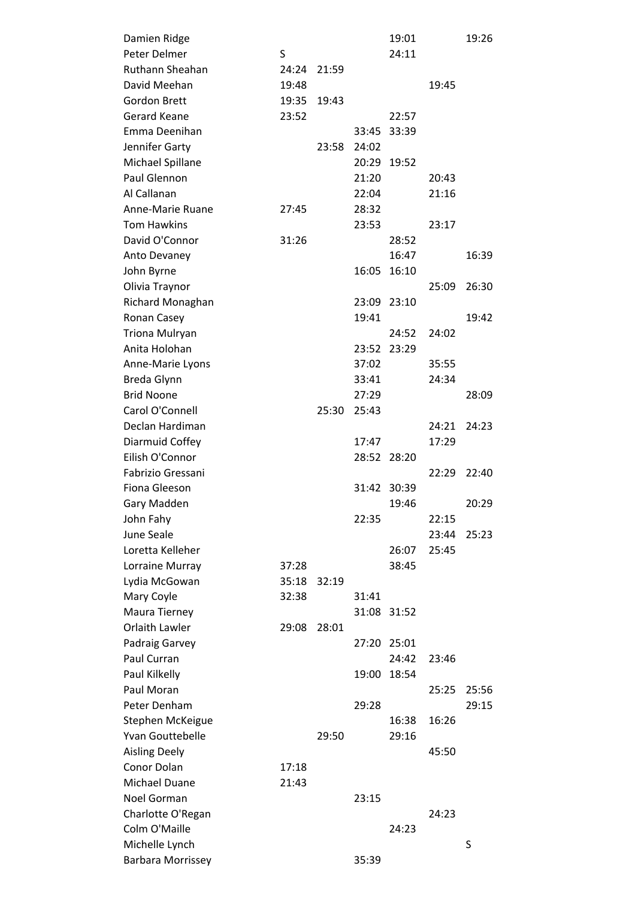| Damien Ridge                        |       |       |       | 19:01       |       | 19:26 |
|-------------------------------------|-------|-------|-------|-------------|-------|-------|
| Peter Delmer                        | S     |       |       | 24:11       |       |       |
| Ruthann Sheahan                     | 24:24 | 21:59 |       |             |       |       |
| David Meehan                        | 19:48 |       |       |             | 19:45 |       |
| <b>Gordon Brett</b>                 | 19:35 | 19:43 |       |             |       |       |
| Gerard Keane                        | 23:52 |       |       | 22:57       |       |       |
| Emma Deenihan                       |       |       | 33:45 | 33:39       |       |       |
| Jennifer Garty                      |       | 23:58 | 24:02 |             |       |       |
| Michael Spillane                    |       |       |       | 20:29 19:52 |       |       |
| Paul Glennon                        |       |       | 21:20 |             | 20:43 |       |
| Al Callanan                         |       |       | 22:04 |             | 21:16 |       |
| Anne-Marie Ruane                    | 27:45 |       | 28:32 |             |       |       |
| <b>Tom Hawkins</b>                  |       |       | 23:53 |             | 23:17 |       |
| David O'Connor                      | 31:26 |       |       | 28:52       |       |       |
| Anto Devaney                        |       |       |       | 16:47       |       | 16:39 |
| John Byrne                          |       |       | 16:05 | 16:10       |       |       |
| Olivia Traynor                      |       |       |       |             | 25:09 | 26:30 |
| Richard Monaghan                    |       |       |       | 23:09 23:10 |       |       |
| Ronan Casey                         |       |       | 19:41 |             |       | 19:42 |
| Triona Mulryan                      |       |       |       | 24:52       | 24:02 |       |
| Anita Holohan                       |       |       | 23:52 | 23:29       |       |       |
| Anne-Marie Lyons                    |       |       | 37:02 |             | 35:55 |       |
| Breda Glynn                         |       |       | 33:41 |             | 24:34 |       |
| <b>Brid Noone</b>                   |       |       | 27:29 |             |       | 28:09 |
| Carol O'Connell                     |       | 25:30 | 25:43 |             |       |       |
| Declan Hardiman                     |       |       |       |             | 24:21 | 24:23 |
| Diarmuid Coffey                     |       |       | 17:47 |             | 17:29 |       |
| Eilish O'Connor                     |       |       | 28:52 | 28:20       |       |       |
| Fabrizio Gressani                   |       |       |       |             | 22:29 | 22:40 |
| Fiona Gleeson                       |       |       | 31:42 | 30:39       |       |       |
| Gary Madden                         |       |       |       | 19:46       |       | 20:29 |
| John Fahy                           |       |       | 22:35 |             | 22:15 |       |
| June Seale                          |       |       |       |             | 23:44 | 25:23 |
| Loretta Kelleher                    |       |       |       | 26:07       | 25:45 |       |
| Lorraine Murray                     | 37:28 |       |       | 38:45       |       |       |
| Lydia McGowan                       | 35:18 | 32:19 |       |             |       |       |
| Mary Coyle                          | 32:38 |       | 31:41 |             |       |       |
| Maura Tierney                       |       |       |       | 31:08 31:52 |       |       |
| Orlaith Lawler                      | 29:08 | 28:01 |       |             |       |       |
| Padraig Garvey                      |       |       | 27:20 | 25:01       |       |       |
| Paul Curran                         |       |       |       | 24:42       | 23:46 |       |
| Paul Kilkelly                       |       |       | 19:00 |             |       |       |
| Paul Moran                          |       |       |       | 18:54       |       |       |
| Peter Denham                        |       |       |       |             | 25:25 | 25:56 |
|                                     |       |       | 29:28 |             |       | 29:15 |
| Stephen McKeigue                    |       |       |       | 16:38       | 16:26 |       |
| Yvan Gouttebelle                    |       | 29:50 |       | 29:16       |       |       |
| <b>Aisling Deely</b><br>Conor Dolan |       |       |       |             | 45:50 |       |
|                                     | 17:18 |       |       |             |       |       |
| Michael Duane                       | 21:43 |       |       |             |       |       |
| Noel Gorman                         |       |       | 23:15 |             |       |       |
| Charlotte O'Regan                   |       |       |       |             | 24:23 |       |
| Colm O'Maille                       |       |       |       | 24:23       |       |       |
| Michelle Lynch                      |       |       |       |             |       | S     |
| <b>Barbara Morrissey</b>            |       |       | 35:39 |             |       |       |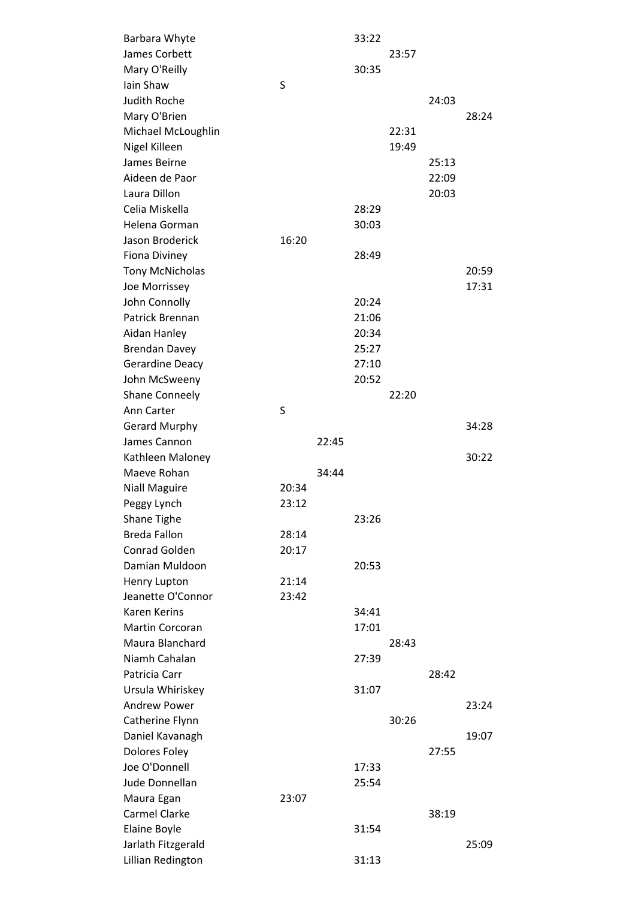| Barbara Whyte                      |       |       | 33:22 |       |       |       |
|------------------------------------|-------|-------|-------|-------|-------|-------|
| James Corbett                      |       |       |       | 23:57 |       |       |
| Mary O'Reilly                      |       |       | 30:35 |       |       |       |
| Iain Shaw                          | S     |       |       |       |       |       |
| <b>Judith Roche</b>                |       |       |       |       | 24:03 |       |
| Mary O'Brien                       |       |       |       |       |       | 28:24 |
| Michael McLoughlin                 |       |       |       | 22:31 |       |       |
| Nigel Killeen                      |       |       |       | 19:49 |       |       |
| James Beirne                       |       |       |       |       | 25:13 |       |
| Aideen de Paor                     |       |       |       |       | 22:09 |       |
| Laura Dillon                       |       |       |       |       | 20:03 |       |
| Celia Miskella                     |       |       | 28:29 |       |       |       |
| Helena Gorman                      |       |       | 30:03 |       |       |       |
| Jason Broderick                    | 16:20 |       |       |       |       |       |
| <b>Fiona Diviney</b>               |       |       | 28:49 |       |       |       |
| <b>Tony McNicholas</b>             |       |       |       |       |       | 20:59 |
| Joe Morrissey                      |       |       |       |       |       | 17:31 |
| John Connolly                      |       |       | 20:24 |       |       |       |
| Patrick Brennan                    |       |       | 21:06 |       |       |       |
| Aidan Hanley                       |       |       | 20:34 |       |       |       |
| <b>Brendan Davey</b>               |       |       | 25:27 |       |       |       |
| Gerardine Deacy                    |       |       | 27:10 |       |       |       |
| John McSweeny                      |       |       | 20:52 |       |       |       |
| <b>Shane Conneely</b>              |       |       |       | 22:20 |       |       |
| Ann Carter                         | S     |       |       |       |       |       |
| <b>Gerard Murphy</b>               |       |       |       |       |       | 34:28 |
| James Cannon                       |       | 22:45 |       |       |       |       |
|                                    |       |       |       |       |       |       |
|                                    |       |       |       |       |       |       |
| Kathleen Maloney                   |       |       |       |       |       | 30:22 |
| Maeve Rohan                        |       | 34:44 |       |       |       |       |
| <b>Niall Maguire</b>               | 20:34 |       |       |       |       |       |
| Peggy Lynch                        | 23:12 |       |       |       |       |       |
| Shane Tighe                        |       |       | 23:26 |       |       |       |
| <b>Breda Fallon</b>                | 28:14 |       |       |       |       |       |
| Conrad Golden                      | 20:17 |       |       |       |       |       |
| Damian Muldoon                     |       |       | 20:53 |       |       |       |
| Henry Lupton                       | 21:14 |       |       |       |       |       |
| Jeanette O'Connor                  | 23:42 |       |       |       |       |       |
| <b>Karen Kerins</b>                |       |       | 34:41 |       |       |       |
| Martin Corcoran                    |       |       | 17:01 |       |       |       |
| Maura Blanchard                    |       |       |       | 28:43 |       |       |
| Niamh Cahalan                      |       |       | 27:39 |       |       |       |
| Patricia Carr                      |       |       |       |       | 28:42 |       |
| Ursula Whiriskey                   |       |       | 31:07 |       |       |       |
| <b>Andrew Power</b>                |       |       |       |       |       | 23:24 |
| Catherine Flynn                    |       |       |       | 30:26 |       |       |
| Daniel Kavanagh                    |       |       |       |       |       | 19:07 |
| Dolores Foley<br>Joe O'Donnell     |       |       |       |       | 27:55 |       |
| Jude Donnellan                     |       |       | 17:33 |       |       |       |
|                                    |       |       | 25:54 |       |       |       |
| Maura Egan                         | 23:07 |       |       |       |       |       |
| <b>Carmel Clarke</b>               |       |       |       |       | 38:19 |       |
| Elaine Boyle<br>Jarlath Fitzgerald |       |       | 31:54 |       |       | 25:09 |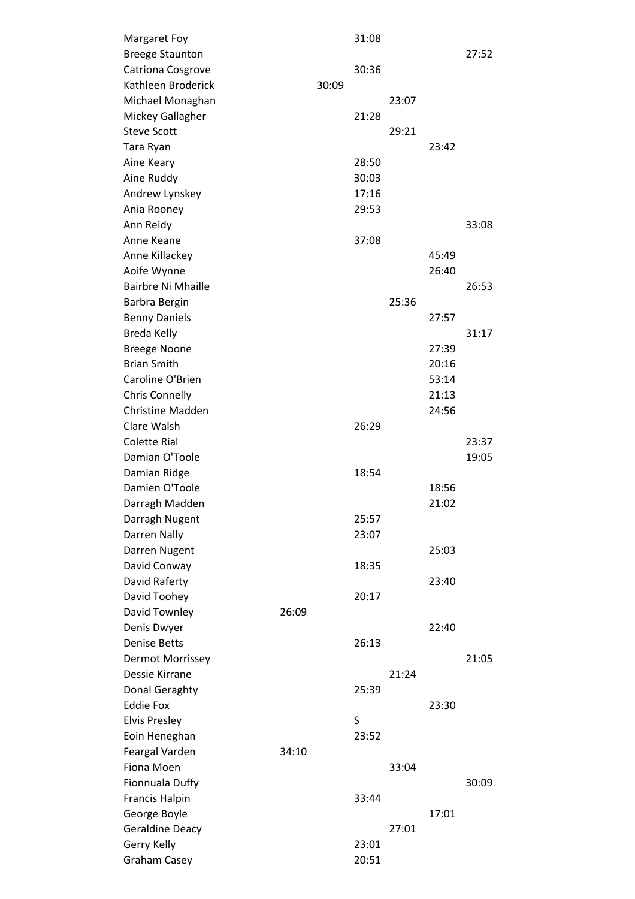| Margaret Foy              |       |       | 31:08 |       |       |       |
|---------------------------|-------|-------|-------|-------|-------|-------|
| <b>Breege Staunton</b>    |       |       |       |       |       | 27:52 |
| Catriona Cosgrove         |       |       | 30:36 |       |       |       |
| Kathleen Broderick        |       | 30:09 |       |       |       |       |
| Michael Monaghan          |       |       |       | 23:07 |       |       |
| Mickey Gallagher          |       |       | 21:28 |       |       |       |
| <b>Steve Scott</b>        |       |       |       | 29:21 |       |       |
| Tara Ryan                 |       |       |       |       | 23:42 |       |
| Aine Keary                |       |       | 28:50 |       |       |       |
| Aine Ruddy                |       |       | 30:03 |       |       |       |
| Andrew Lynskey            |       |       | 17:16 |       |       |       |
| Ania Rooney               |       |       | 29:53 |       |       |       |
| Ann Reidy                 |       |       |       |       |       | 33:08 |
| Anne Keane                |       |       | 37:08 |       |       |       |
| Anne Killackey            |       |       |       |       | 45:49 |       |
| Aoife Wynne               |       |       |       |       | 26:40 |       |
| <b>Bairbre Ni Mhaille</b> |       |       |       |       |       | 26:53 |
| Barbra Bergin             |       |       |       | 25:36 |       |       |
| <b>Benny Daniels</b>      |       |       |       |       | 27:57 |       |
| Breda Kelly               |       |       |       |       |       | 31:17 |
| <b>Breege Noone</b>       |       |       |       |       | 27:39 |       |
| <b>Brian Smith</b>        |       |       |       |       | 20:16 |       |
| Caroline O'Brien          |       |       |       |       | 53:14 |       |
| <b>Chris Connelly</b>     |       |       |       |       | 21:13 |       |
| <b>Christine Madden</b>   |       |       |       |       | 24:56 |       |
| Clare Walsh               |       |       | 26:29 |       |       |       |
| <b>Colette Rial</b>       |       |       |       |       |       | 23:37 |
| Damian O'Toole            |       |       |       |       |       | 19:05 |
| Damian Ridge              |       |       | 18:54 |       |       |       |
| Damien O'Toole            |       |       |       |       | 18:56 |       |
| Darragh Madden            |       |       |       |       | 21:02 |       |
| Darragh Nugent            |       |       | 25:57 |       |       |       |
| Darren Nally              |       |       | 23:07 |       |       |       |
| Darren Nugent             |       |       |       |       | 25:03 |       |
| David Conway              |       |       | 18:35 |       |       |       |
| David Raferty             |       |       |       |       | 23:40 |       |
| David Toohey              |       |       | 20:17 |       |       |       |
| David Townley             | 26:09 |       |       |       |       |       |
| Denis Dwyer               |       |       |       |       | 22:40 |       |
| <b>Denise Betts</b>       |       |       | 26:13 |       |       |       |
| Dermot Morrissey          |       |       |       |       |       | 21:05 |
| Dessie Kirrane            |       |       |       | 21:24 |       |       |
| Donal Geraghty            |       |       | 25:39 |       |       |       |
| <b>Eddie Fox</b>          |       |       |       |       | 23:30 |       |
| <b>Elvis Presley</b>      |       |       | S     |       |       |       |
| Eoin Heneghan             |       |       | 23:52 |       |       |       |
| Feargal Varden            | 34:10 |       |       |       |       |       |
| Fiona Moen                |       |       |       | 33:04 |       |       |
| Fionnuala Duffy           |       |       |       |       |       | 30:09 |
| <b>Francis Halpin</b>     |       |       | 33:44 |       |       |       |
| George Boyle              |       |       |       |       | 17:01 |       |
| <b>Geraldine Deacy</b>    |       |       |       | 27:01 |       |       |
| Gerry Kelly               |       |       | 23:01 |       |       |       |
| <b>Graham Casey</b>       |       |       | 20:51 |       |       |       |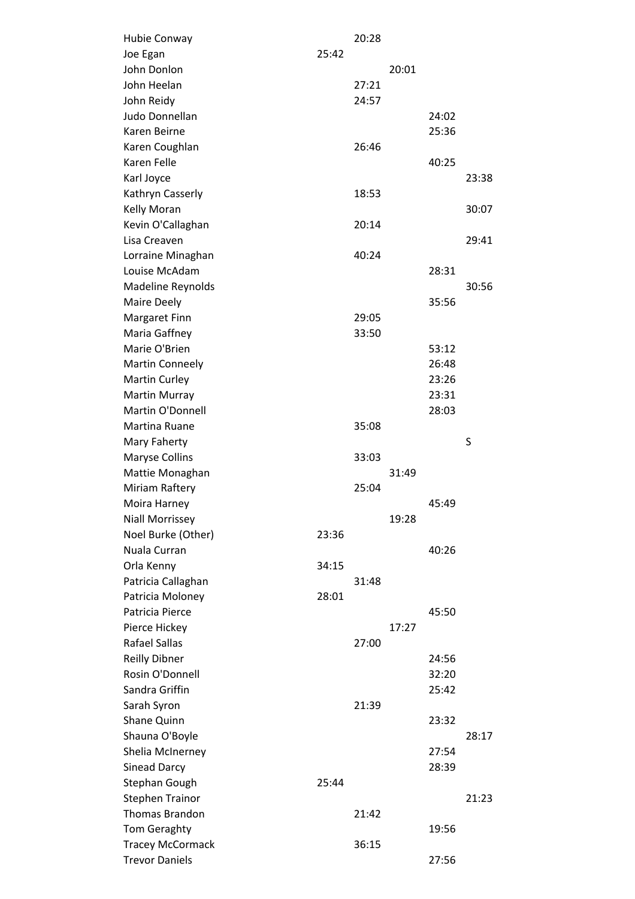| Hubie Conway            |       | 20:28 |       |       |       |
|-------------------------|-------|-------|-------|-------|-------|
| Joe Egan                | 25:42 |       |       |       |       |
| John Donlon             |       |       | 20:01 |       |       |
| John Heelan             |       | 27:21 |       |       |       |
| John Reidy              |       | 24:57 |       |       |       |
| Judo Donnellan          |       |       |       | 24:02 |       |
| Karen Beirne            |       |       |       | 25:36 |       |
| Karen Coughlan          |       | 26:46 |       |       |       |
| Karen Felle             |       |       |       | 40:25 |       |
| Karl Joyce              |       |       |       |       | 23:38 |
| Kathryn Casserly        |       | 18:53 |       |       |       |
| Kelly Moran             |       |       |       |       | 30:07 |
| Kevin O'Callaghan       |       | 20:14 |       |       |       |
| Lisa Creaven            |       |       |       |       | 29:41 |
| Lorraine Minaghan       |       | 40:24 |       |       |       |
| Louise McAdam           |       |       |       | 28:31 |       |
| Madeline Reynolds       |       |       |       |       | 30:56 |
| Maire Deely             |       |       |       | 35:56 |       |
| Margaret Finn           |       | 29:05 |       |       |       |
| Maria Gaffney           |       | 33:50 |       |       |       |
| Marie O'Brien           |       |       |       | 53:12 |       |
| <b>Martin Conneely</b>  |       |       |       | 26:48 |       |
| <b>Martin Curley</b>    |       |       |       | 23:26 |       |
| Martin Murray           |       |       |       | 23:31 |       |
| Martin O'Donnell        |       |       |       | 28:03 |       |
| Martina Ruane           |       | 35:08 |       |       |       |
| Mary Faherty            |       |       |       |       | S     |
| Maryse Collins          |       | 33:03 |       |       |       |
| Mattie Monaghan         |       |       | 31:49 |       |       |
| Miriam Raftery          |       | 25:04 |       |       |       |
| Moira Harney            |       |       |       | 45:49 |       |
| <b>Niall Morrissey</b>  |       |       | 19:28 |       |       |
| Noel Burke (Other)      | 23:36 |       |       |       |       |
| Nuala Curran            |       |       |       | 40:26 |       |
| Orla Kenny              | 34:15 |       |       |       |       |
| Patricia Callaghan      |       | 31:48 |       |       |       |
| Patricia Moloney        | 28:01 |       |       |       |       |
| Patricia Pierce         |       |       |       | 45:50 |       |
| Pierce Hickey           |       |       | 17:27 |       |       |
| <b>Rafael Sallas</b>    |       | 27:00 |       |       |       |
| <b>Reilly Dibner</b>    |       |       |       | 24:56 |       |
| Rosin O'Donnell         |       |       |       | 32:20 |       |
| Sandra Griffin          |       |       |       | 25:42 |       |
| Sarah Syron             |       | 21:39 |       |       |       |
| Shane Quinn             |       |       |       | 23:32 |       |
| Shauna O'Boyle          |       |       |       |       | 28:17 |
| Shelia McInerney        |       |       |       | 27:54 |       |
| Sinead Darcy            |       |       |       | 28:39 |       |
| Stephan Gough           | 25:44 |       |       |       |       |
| <b>Stephen Trainor</b>  |       |       |       |       | 21:23 |
| <b>Thomas Brandon</b>   |       | 21:42 |       |       |       |
| Tom Geraghty            |       |       |       | 19:56 |       |
| <b>Tracey McCormack</b> |       | 36:15 |       |       |       |
| <b>Trevor Daniels</b>   |       |       |       | 27:56 |       |